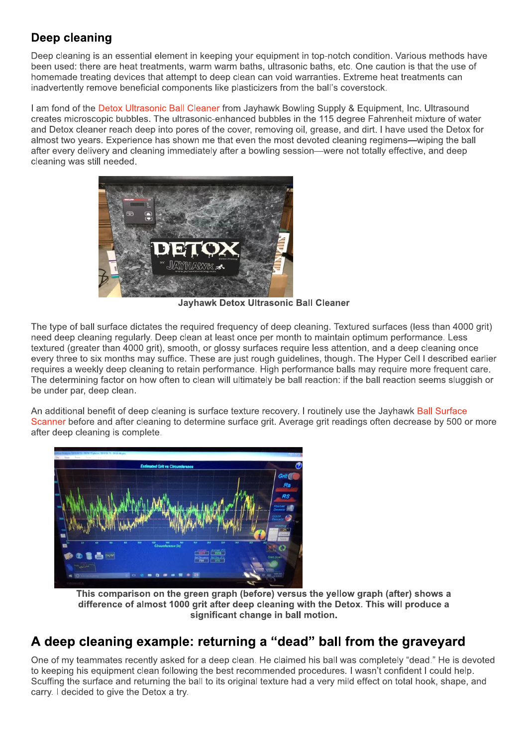## Deep cleaning

Deep cleaning is an essential element in keeping your equipment in top-notch condition. Various methods have been used: there are heat treatments, warm warm baths, ultrasonic baths, etc. One caution is that the use of homemade treating devices that attempt to deep clean can void warranties. Extreme heat treatments can inadvertently remove beneficial components like plasticizers from the ball's coverstock.

I am fond of the Detox Ultrasonic Ball Cleaner from Jayhawk Bowling Supply & Equipment, Inc. Ultrasound creates microscopic bubbles. The ultrasonic-enhanced bubbles in the 115 degree Fahrenheit mixture of water and Detox cleaner reach deep into pores of the cover, removing oil, grease, and dirt. I have used the Detox for almost two vears. Experience has shown me that even the most devoted cleaning regimens-wiping the ball after every delivery and cleaning immediately after a bowling session—were not totally effective, and deep cleaning was still needed.



**Jayhawk Detox Ultrasonic Ball Cleaner** 

The type of ball surface dictates the required frequency of deep cleaning. Textured surfaces (less than 4000 grit) need deep cleaning regularly. Deep clean at least once per month to maintain optimum performance. Less textured (greater than 4000 grit), smooth, or glossy surfaces require less attention, and a deep cleaning once every three to six months may suffice. These are just rough guidelines, though. The Hyper Cell I described earlier requires a weekly deep cleaning to retain performance. High performance balls may require more frequent care. The determining factor on how often to clean will ultimately be ball reaction: if the ball reaction seems sluggish or be under par, deep clean.

An additional benefit of deep cleaning is surface texture recovery. I routinely use the Jayhawk Ball Surface Scanner before and after cleaning to determine surface grit. Average grit readings often decrease by 500 or more after deep cleaning is complete.



This comparison on the green graph (before) versus the yellow graph (after) shows a difference of almost 1000 grit after deep cleaning with the Detox. This will produce a significant change in ball motion.

## A deep cleaning example: returning a "dead" ball from the graveyard

One of my teammates recently asked for a deep clean. He claimed his ball was completely "dead." He is devoted to keeping his equipment clean following the best recommended procedures. I wasn't confident I could help. Scuffing the surface and returning the ball to its original texture had a very mild effect on total hook, shape, and carry. I decided to give the Detox a try.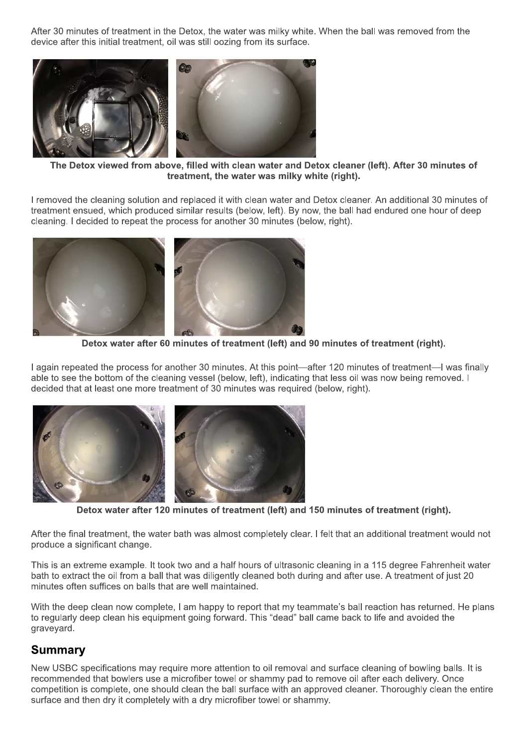After 30 minutes of treatment in the Detox, the water was milky white. When the ball was removed from the device after this initial treatment, oil was still oozing from its surface.



The Detox viewed from above, filled with clean water and Detox cleaner (left). After 30 minutes of treatment, the water was milky white (right).

I removed the cleaning solution and replaced it with clean water and Detox cleaner. An additional 30 minutes of treatment ensued, which produced similar results (below, left). By now, the ball had endured one hour of deep cleaning. I decided to repeat the process for another 30 minutes (below, right).



Detox water after 60 minutes of treatment (left) and 90 minutes of treatment (right).

I again repeated the process for another 30 minutes. At this point—after 120 minutes of treatment—I was finally able to see the bottom of the cleaning vessel (below, left), indicating that less oil was now being removed. I decided that at least one more treatment of 30 minutes was required (below, right).



Detox water after 120 minutes of treatment (left) and 150 minutes of treatment (right).

After the final treatment, the water bath was almost completely clear. I felt that an additional treatment would not produce a significant change.

This is an extreme example. It took two and a half hours of ultrasonic cleaning in a 115 degree Fahrenheit water bath to extract the oil from a ball that was diligently cleaned both during and after use. A treatment of just 20 minutes often suffices on balls that are well maintained.

With the deep clean now complete. I am happy to report that my teammate's ball reaction has returned. He plans to regularly deep clean his equipment going forward. This "dead" ball came back to life and avoided the graveyard.

## **Summary**

New USBC specifications may require more attention to oil removal and surface cleaning of bowling balls. It is recommended that bowlers use a microfiber towel or shammy pad to remove oil after each delivery. Once competition is complete, one should clean the ball surface with an approved cleaner. Thoroughly clean the entire surface and then dry it completely with a dry microfiber towel or shammy.